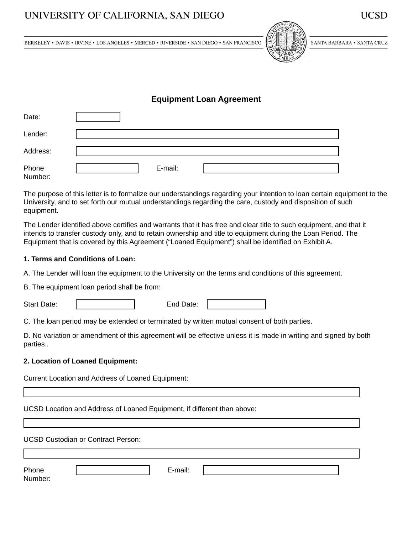# UNIVERSITY OF CALIFORNIA, SAN DIEGO



SANTA BARBARA . SANTA CRUZ

BERKELEY • DAVIS • IRVINE • LOS ANGELES • MERCED • RIVERSIDE • SAN DIEGO • SAN FRANCISCO

# **Equipment Loan Agreement**

| Date:            |         |
|------------------|---------|
| Lender:          |         |
| Address:         |         |
| Phone<br>Number: | E-mail: |

The purpose of this letter is to formalize our understandings regarding your intention to loan certain equipment to the University, and to set forth our mutual understandings regarding the care, custody and disposition of such equipment.

The Lender identified above certifies and warrants that it has free and clear title to such equipment, and that it intends to transfer custody only, and to retain ownership and title to equipment during the Loan Period. The Equipment that is covered by this Agreement ("Loaned Equipment") shall be identified on Exhibit A.

### **1. Terms and Conditions of Loan:**

A. The Lender will loan the equipment to the University on the terms and conditions of this agreement.

B. The equipment loan period shall be from:

Start Date:  $\begin{array}{ccc} \hline \end{array}$  End Date:

C. The loan period may be extended or terminated by written mutual consent of both parties.

D. No variation or amendment of this agreement will be effective unless it is made in writing and signed by both parties..

### **2. Location of Loaned Equipment:**

Current Location and Address of Loaned Equipment:

UCSD Location and Address of Loaned Equipment, if different than above:

UCSD Custodian or Contract Person:

| DL.<br>mone | L-man. |  |
|-------------|--------|--|
| .           |        |  |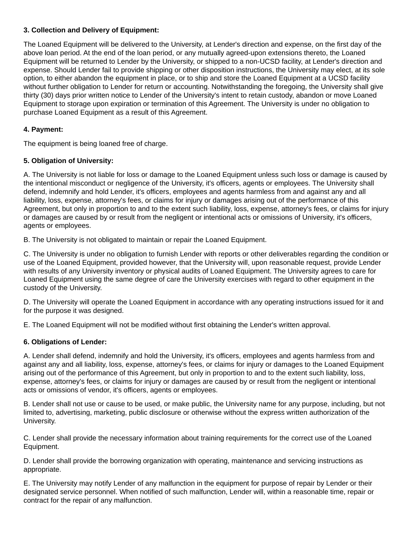# **3. Collection and Delivery of Equipment:**

The Loaned Equipment will be delivered to the University, at Lender's direction and expense, on the first day of the above loan period. At the end of the loan period, or any mutually agreed-upon extensions thereto, the Loaned Equipment will be returned to Lender by the University, or shipped to a non-UCSD facility, at Lender's direction and expense. Should Lender fail to provide shipping or other disposition instructions, the University may elect, at its sole option, to either abandon the equipment in place, or to ship and store the Loaned Equipment at a UCSD facility without further obligation to Lender for return or accounting. Notwithstanding the foregoing, the University shall give thirty (30) days prior written notice to Lender of the University's intent to retain custody, abandon or move Loaned Equipment to storage upon expiration or termination of this Agreement. The University is under no obligation to purchase Loaned Equipment as a result of this Agreement.

# **4. Payment:**

The equipment is being loaned free of charge.

# **5. Obligation of University:**

A. The University is not liable for loss or damage to the Loaned Equipment unless such loss or damage is caused by the intentional misconduct or negligence of the University, it's officers, agents or employees. The University shall defend, indemnify and hold Lender, it's officers, employees and agents harmless from and against any and all liability, loss, expense, attorney's fees, or claims for injury or damages arising out of the performance of this Agreement, but only in proportion to and to the extent such liability, loss, expense, attorney's fees, or claims for injury or damages are caused by or result from the negligent or intentional acts or omissions of University, it's officers, agents or employees.

B. The University is not obligated to maintain or repair the Loaned Equipment.

C. The University is under no obligation to furnish Lender with reports or other deliverables regarding the condition or use of the Loaned Equipment, provided however, that the University will, upon reasonable request, provide Lender with results of any University inventory or physical audits of Loaned Equipment. The University agrees to care for Loaned Equipment using the same degree of care the University exercises with regard to other equipment in the custody of the University.

D. The University will operate the Loaned Equipment in accordance with any operating instructions issued for it and for the purpose it was designed.

E. The Loaned Equipment will not be modified without first obtaining the Lender's written approval.

# **6. Obligations of Lender:**

A. Lender shall defend, indemnify and hold the University, it's officers, employees and agents harmless from and against any and all liability, loss, expense, attorney's fees, or claims for injury or damages to the Loaned Equipment arising out of the performance of this Agreement, but only in proportion to and to the extent such liability, loss, expense, attorney's fees, or claims for injury or damages are caused by or result from the negligent or intentional acts or omissions of vendor, it's officers, agents or employees.

B. Lender shall not use or cause to be used, or make public, the University name for any purpose, including, but not limited to, advertising, marketing, public disclosure or otherwise without the express written authorization of the University.

C. Lender shall provide the necessary information about training requirements for the correct use of the Loaned Equipment.

D. Lender shall provide the borrowing organization with operating, maintenance and servicing instructions as appropriate.

E. The University may notify Lender of any malfunction in the equipment for purpose of repair by Lender or their designated service personnel. When notified of such malfunction, Lender will, within a reasonable time, repair or contract for the repair of any malfunction.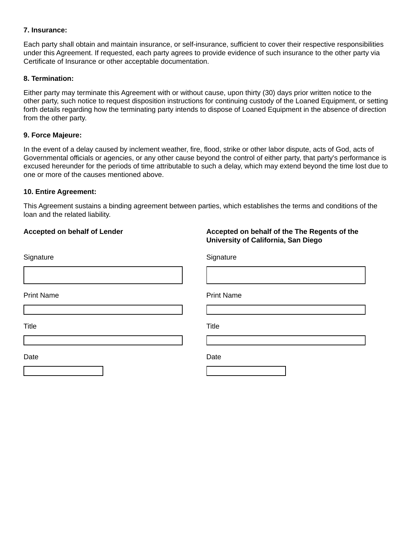### **7. Insurance:**

Each party shall obtain and maintain insurance, or self-insurance, sufficient to cover their respective responsibilities under this Agreement. If requested, each party agrees to provide evidence of such insurance to the other party via Certificate of Insurance or other acceptable documentation.

# **8. Termination:**

Either party may terminate this Agreement with or without cause, upon thirty (30) days prior written notice to the other party, such notice to request disposition instructions for continuing custody of the Loaned Equipment, or setting forth details regarding how the terminating party intends to dispose of Loaned Equipment in the absence of direction from the other party.

# **9. Force Majeure:**

In the event of a delay caused by inclement weather, fire, flood, strike or other labor dispute, acts of God, acts of Governmental officials or agencies, or any other cause beyond the control of either party, that party's performance is excused hereunder for the periods of time attributable to such a delay, which may extend beyond the time lost due to one or more of the causes mentioned above.

### **10. Entire Agreement:**

This Agreement sustains a binding agreement between parties, which establishes the terms and conditions of the loan and the related liability.

# **Accepted on behalf of Lender Accepted on behalf of the The Regents of the University of California, San Diego** Signature Signature Signature Signature Signature Print Name **Print Name** Title Title Date **Date Date Date Date Date Date**